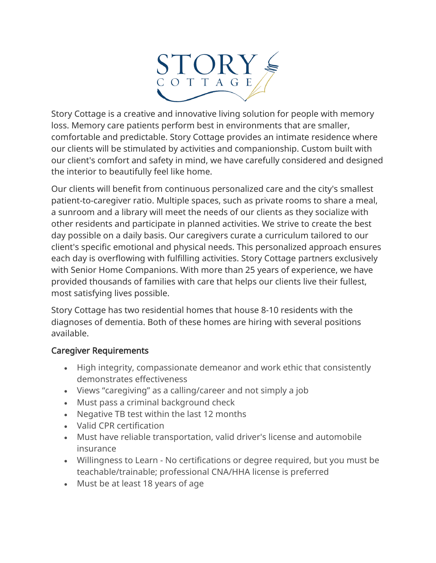

Story Cottage is a creative and innovative living solution for people with memory loss. Memory care patients perform best in environments that are smaller, comfortable and predictable. Story Cottage provides an intimate residence where our clients will be stimulated by activities and companionship. Custom built with our client's comfort and safety in mind, we have carefully considered and designed the interior to beautifully feel like home.

Our clients will benefit from continuous personalized care and the city's smallest patient-to-caregiver ratio. Multiple spaces, such as private rooms to share a meal, a sunroom and a library will meet the needs of our clients as they socialize with other residents and participate in planned activities. We strive to create the best day possible on a daily basis. Our caregivers curate a curriculum tailored to our client's specific emotional and physical needs. This personalized approach ensures each day is overflowing with fulfilling activities. Story Cottage partners exclusively with Senior Home Companions. With more than 25 years of experience, we have provided thousands of families with care that helps our clients live their fullest, most satisfying lives possible.

Story Cottage has two residential homes that house 8-10 residents with the diagnoses of dementia. Both of these homes are hiring with several positions available.

## Caregiver Requirements

- High integrity, compassionate demeanor and work ethic that consistently demonstrates effectiveness
- Views "caregiving" as a calling/career and not simply a job
- Must pass a criminal background check
- Negative TB test within the last 12 months
- Valid CPR certification
- Must have reliable transportation, valid driver's license and automobile insurance
- Willingness to Learn No certifications or degree required, but you must be teachable/trainable; professional CNA/HHA license is preferred
- Must be at least 18 years of age